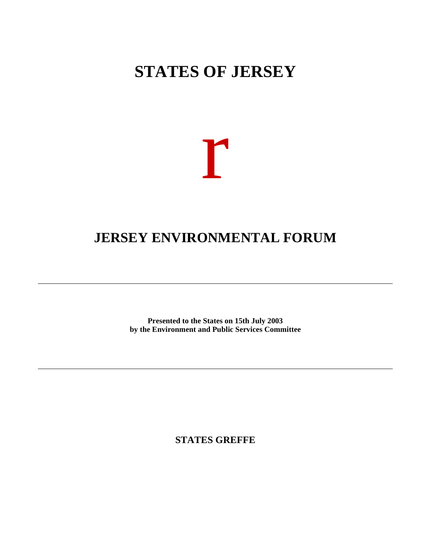## **STATES OF JERSEY**



## **JERSEY ENVIRONMENTAL FORUM**

**Presented to the States on 15th July 2003 by the Environment and Public Services Committee**

**STATES GREFFE**